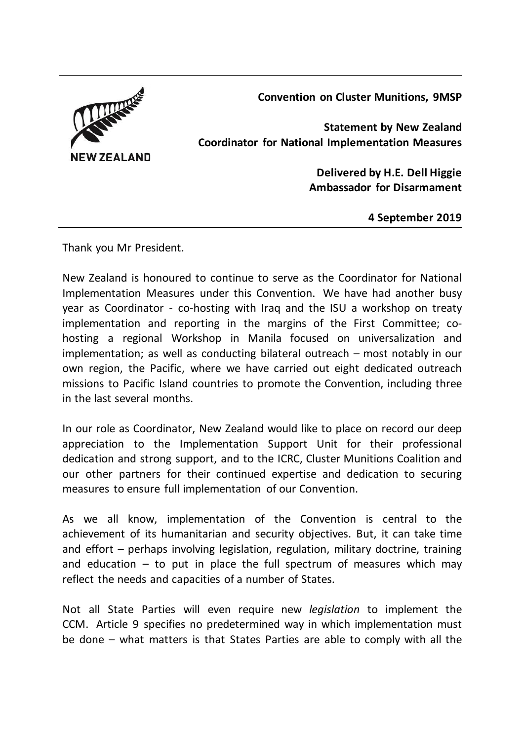**Convention on Cluster Munitions, 9MSP**



**Statement by New Zealand Coordinator for National Implementation Measures**

> **Delivered by H.E. Dell Higgie Ambassador for Disarmament**

> > **4 September 2019**

Thank you Mr President.

New Zealand is honoured to continue to serve as the Coordinator for National Implementation Measures under this Convention. We have had another busy year as Coordinator - co-hosting with Iraq and the ISU a workshop on treaty implementation and reporting in the margins of the First Committee; cohosting a regional Workshop in Manila focused on universalization and implementation; as well as conducting bilateral outreach – most notably in our own region, the Pacific, where we have carried out eight dedicated outreach missions to Pacific Island countries to promote the Convention, including three in the last several months.

In our role as Coordinator, New Zealand would like to place on record our deep appreciation to the Implementation Support Unit for their professional dedication and strong support, and to the ICRC, Cluster Munitions Coalition and our other partners for their continued expertise and dedication to securing measures to ensure full implementation of our Convention.

As we all know, implementation of the Convention is central to the achievement of its humanitarian and security objectives. But, it can take time and effort – perhaps involving legislation, regulation, military doctrine, training and education  $-$  to put in place the full spectrum of measures which may reflect the needs and capacities of a number of States.

Not all State Parties will even require new *legislation* to implement the CCM. Article 9 specifies no predetermined way in which implementation must be done – what matters is that States Parties are able to comply with all the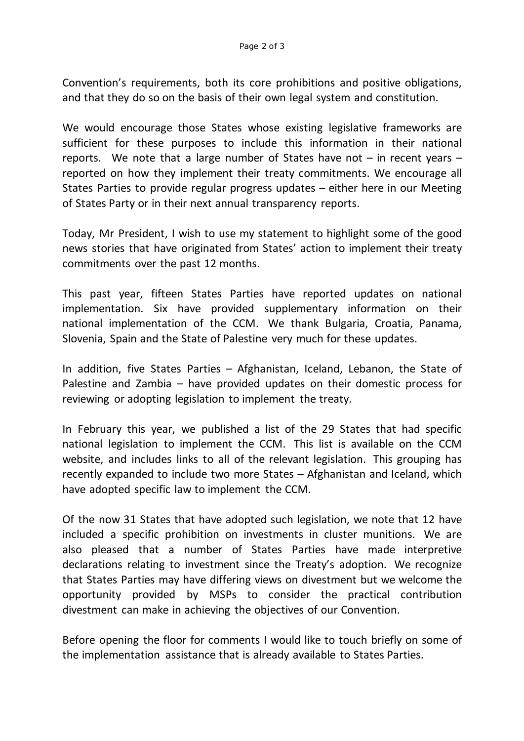Convention's requirements, both its core prohibitions and positive obligations, and that they do so on the basis of their own legal system and constitution.

We would encourage those States whose existing legislative frameworks are sufficient for these purposes to include this information in their national reports. We note that a large number of States have not  $-$  in recent years  $$ reported on how they implement their treaty commitments. We encourage all States Parties to provide regular progress updates – either here in our Meeting of States Party or in their next annual transparency reports.

Today, Mr President, I wish to use my statement to highlight some of the good news stories that have originated from States' action to implement their treaty commitments over the past 12 months.

This past year, fifteen States Parties have reported updates on national implementation. Six have provided supplementary information on their national implementation of the CCM. We thank Bulgaria, Croatia, Panama, Slovenia, Spain and the State of Palestine very much for these updates.

In addition, five States Parties – Afghanistan, Iceland, Lebanon, the State of Palestine and Zambia – have provided updates on their domestic process for reviewing or adopting legislation to implement the treaty.

In February this year, we published a list of the 29 States that had specific national legislation to implement the CCM. This list is available on the CCM website, and includes links to all of the relevant legislation. This grouping has recently expanded to include two more States – Afghanistan and Iceland, which have adopted specific law to implement the CCM.

Of the now 31 States that have adopted such legislation, we note that 12 have included a specific prohibition on investments in cluster munitions. We are also pleased that a number of States Parties have made interpretive declarations relating to investment since the Treaty's adoption. We recognize that States Parties may have differing views on divestment but we welcome the opportunity provided by MSPs to consider the practical contribution divestment can make in achieving the objectives of our Convention.

Before opening the floor for comments I would like to touch briefly on some of the implementation assistance that is already available to States Parties.